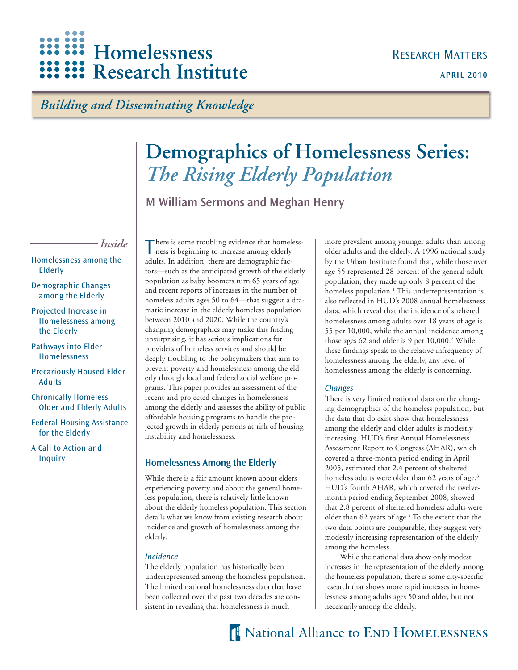## $\bullet\bullet\bullet$ Homelessness **Research Institute**

RESEARCH MATTERS

**APRIL 2010**

### *Building and Disseminating Knowledge*

# **Demographics of Homelessness Series:** *The Rising Elderly Population*

**M William Sermons and Meghan Henry**

#### *Inside*

#### Homelessness among the Elderly

Demographic Changes among the Elderly

#### Projected Increase in Homelessness among the Elderly

Pathways into Elder Homelessness

#### Precariously Housed Elder Adults

Chronically Homeless Older and Elderly Adults

Federal Housing Assistance for the Elderly

A Call to Action and **Inquiry** 

-here is some troubling evidence that homelessness is beginning to increase among elderly adults. In addition, there are demographic factors—such as the anticipated growth of the elderly population as baby boomers turn 65 years of age and recent reports of increases in the number of homeless adults ages 50 to 64—that suggest a dramatic increase in the elderly homeless population between 2010 and 2020. While the country's changing demographics may make this finding unsurprising, it has serious implications for providers of homeless services and should be deeply troubling to the policymakers that aim to prevent poverty and homelessness among the elderly through local and federal social welfare programs. This paper provides an assessment of the recent and projected changes in homelessness among the elderly and assesses the ability of public affordable housing programs to handle the projected growth in elderly persons at-risk of housing instability and homelessness.

#### **Homelessness Among the Elderly**

While there is a fair amount known about elders experiencing poverty and about the general homeless population, there is relatively little known about the elderly homeless population. This section details what we know from existing research about incidence and growth of homelessness among the elderly.

#### *Incidence*

The elderly population has historically been underrepresented among the homeless population. The limited national homelessness data that have been collected over the past two decades are consistent in revealing that homelessness is much

more prevalent among younger adults than among older adults and the elderly. A 1996 national study by the Urban Institute found that, while those over age 55 represented 28 percent of the general adult population, they made up only 8 percent of the homeless population.<sup>1</sup> This underrepresentation is also reflected in HUD's 2008 annual homelessness data, which reveal that the incidence of sheltered homelessness among adults over 18 years of age is 55 per 10,000, while the annual incidence among those ages 62 and older is 9 per 10,000.<sup>2</sup> While these findings speak to the relative infrequency of homelessness among the elderly, any level of homelessness among the elderly is concerning.

#### *Changes*

There is very limited national data on the changing demographics of the homeless population, but the data that do exist show that homelessness among the elderly and older adults is modestly increasing. HUD's first Annual Homelessness Assessment Report to Congress (AHAR), which covered a three-month period ending in April 2005, estimated that 2.4 percent of sheltered homeless adults were older than 62 years of age.<sup>3</sup> HUD's fourth AHAR, which covered the twelvemonth period ending September 2008, showed that 2.8 percent of sheltered homeless adults were older than 62 years of age.4 To the extent that the two data points are comparable, they suggest very modestly increasing representation of the elderly among the homeless.

While the national data show only modest increases in the representation of the elderly among the homeless population, there is some city-specific research that shows more rapid increases in homelessness among adults ages 50 and older, but not necessarily among the elderly.

**1 National Alliance to END HOMELESSNESS**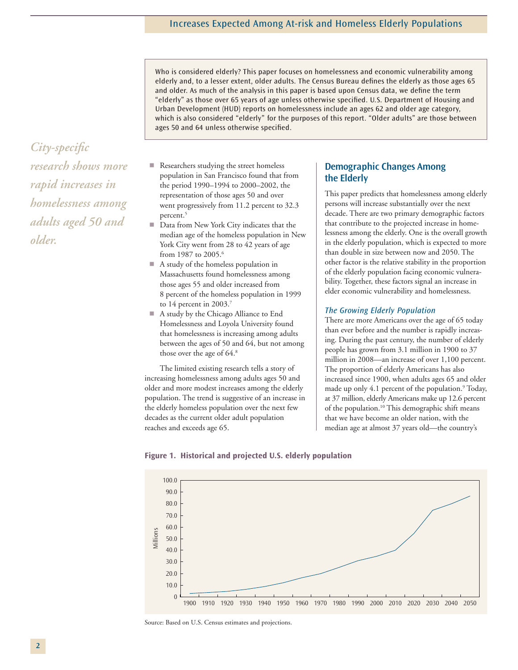Who is considered elderly? This paper focuses on homelessness and economic vulnerability among elderly and, to a lesser extent, older adults. The Census Bureau defines the elderly as those ages 65 and older. As much of the analysis in this paper is based upon Census data, we define the term "elderly" as those over 65 years of age unless otherwise specified. U.S. Department of Housing and Urban Development (HUD) reports on homelessness include an ages 62 and older age category, which is also considered "elderly" for the purposes of this report. "Older adults" are those between ages 50 and 64 unless otherwise specified.

*City-specific research shows more rapid increases in homelessness among adults aged 50 and older.*

- **Researchers studying the street homeless** population in San Francisco found that from the period 1990–1994 to 2000–2002, the representation of those ages 50 and over went progressively from 11.2 percent to 32.3 percent.<sup>5</sup>
- - Data from New York City indicates that the median age of the homeless population in New York City went from 28 to 42 years of age from 1987 to 2005.6
- - A study of the homeless population in Massachusetts found homelessness among those ages 55 and older increased from 8 percent of the homeless population in 1999 to 14 percent in 2003.<sup>7</sup>
- - A study by the Chicago Alliance to End Homelessness and Loyola University found that homelessness is increasing among adults between the ages of 50 and 64, but not among those over the age of 64.8

The limited existing research tells a story of increasing homelessness among adults ages 50 and older and more modest increases among the elderly population. The trend is suggestive of an increase in the elderly homeless population over the next few decades as the current older adult population reaches and exceeds age 65.

#### **Demographic Changes Among the Elderly**

This paper predicts that homelessness among elderly persons will increase substantially over the next decade. There are two primary demographic factors that contribute to the projected increase in homelessness among the elderly. One is the overall growth in the elderly population, which is expected to more than double in size between now and 2050. The other factor is the relative stability in the proportion of the elderly population facing economic vulnerability. Together, these factors signal an increase in elder economic vulnerability and homelessness.

#### *The Growing Elderly Population*

There are more Americans over the age of 65 today than ever before and the number is rapidly increasing. During the past century, the number of elderly people has grown from 3.1 million in 1900 to 37 million in 2008—an increase of over 1,100 percent. The proportion of elderly Americans has also increased since 1900, when adults ages 65 and older made up only 4.1 percent of the population.<sup>9</sup> Today, at 37 million, elderly Americans make up 12.6 percent of the population.10 This demographic shift means that we have become an older nation, with the median age at almost 37 years old—the country's



**Figure 1. Historical and projected U.S. elderly population**

Source: Based on U.S. Census estimates and projections.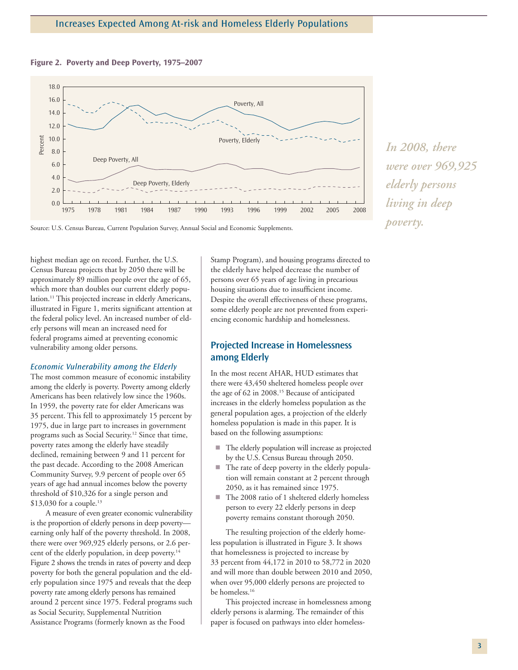



*In 2008, there were over 969,925 elderly persons living in deep poverty.*

Source: U.S. Census Bureau, Current Population Survey, Annual Social and Economic Supplements.

highest median age on record. Further, the U.S. Census Bureau projects that by 2050 there will be approximately 89 million people over the age of 65, which more than doubles our current elderly population.11 This projected increase in elderly Americans, illustrated in Figure 1, merits significant attention at the federal policy level. An increased number of elderly persons will mean an increased need for federal programs aimed at preventing economic vulnerability among older persons.

#### *Economic Vulnerability among the Elderly*

The most common measure of economic instability among the elderly is poverty. Poverty among elderly Americans has been relatively low since the 1960s. In 1959, the poverty rate for elder Americans was 35 percent. This fell to approximately 15 percent by 1975, due in large part to increases in government programs such as Social Security.12 Since that time, poverty rates among the elderly have steadily declined, remaining between 9 and 11 percent for the past decade. According to the 2008 American Community Survey, 9.9 percent of people over 65 years of age had annual incomes below the poverty threshold of \$10,326 for a single person and \$13,030 for a couple.<sup>13</sup>

A measure of even greater economic vulnerability is the proportion of elderly persons in deep poverty earning only half of the poverty threshold. In 2008, there were over 969,925 elderly persons, or 2.6 percent of the elderly population, in deep poverty.<sup>14</sup> Figure 2 shows the trends in rates of poverty and deep poverty for both the general population and the elderly population since 1975 and reveals that the deep poverty rate among elderly persons has remained around 2 percent since 1975. Federal programs such as Social Security, Supplemental Nutrition Assistance Programs (formerly known as the Food

Stamp Program), and housing programs directed to the elderly have helped decrease the number of persons over 65 years of age living in precarious housing situations due to insufficient income. Despite the overall effectiveness of these programs, some elderly people are not prevented from experiencing economic hardship and homelessness.

#### **Projected Increase in Homelessness among Elderly**

In the most recent AHAR, HUD estimates that there were 43,450 sheltered homeless people over the age of 62 in 2008.15 Because of anticipated increases in the elderly homeless population as the general population ages, a projection of the elderly homeless population is made in this paper. It is based on the following assumptions:

- - The elderly population will increase as projected by the U.S. Census Bureau through 2050.
- - The rate of deep poverty in the elderly population will remain constant at 2 percent through 2050, as it has remained since 1975.
- - The 2008 ratio of 1 sheltered elderly homeless person to every 22 elderly persons in deep poverty remains constant thorough 2050.

The resulting projection of the elderly homeless population is illustrated in Figure 3. It shows that homelessness is projected to increase by 33 percent from 44,172 in 2010 to 58,772 in 2020 and will more than double between 2010 and 2050, when over 95,000 elderly persons are projected to be homeless.<sup>16</sup>

This projected increase in homelessness among elderly persons is alarming. The remainder of this paper is focused on pathways into elder homeless-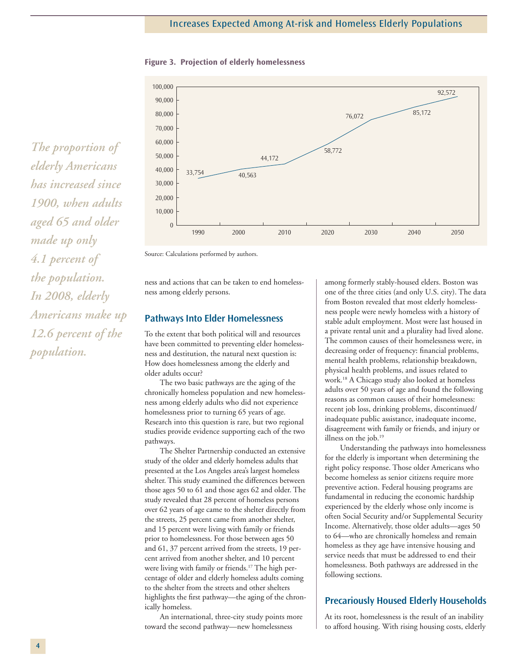



*The proportion of elderly Americans has increased since 1900, when adults aged 65 and older made up only 4.1 percent of the population. In 2008, elderly Americans make up 12.6 percent of the population.*

Source: Calculations performed by authors.

ness and actions that can be taken to end homelessness among elderly persons.

#### **Pathways Into Elder Homelessness**

To the extent that both political will and resources have been committed to preventing elder homelessness and destitution, the natural next question is: How does homelessness among the elderly and older adults occur?

The two basic pathways are the aging of the chronically homeless population and new homelessness among elderly adults who did not experience homelessness prior to turning 65 years of age. Research into this question is rare, but two regional studies provide evidence supporting each of the two pathways.

The Shelter Partnership conducted an extensive study of the older and elderly homeless adults that presented at the Los Angeles area's largest homeless shelter. This study examined the differences between those ages 50 to 61 and those ages 62 and older. The study revealed that 28 percent of homeless persons over 62 years of age came to the shelter directly from the streets, 25 percent came from another shelter, and 15 percent were living with family or friends prior to homelessness. For those between ages 50 and 61, 37 percent arrived from the streets, 19 percent arrived from another shelter, and 10 percent were living with family or friends.<sup>17</sup> The high percentage of older and elderly homeless adults coming to the shelter from the streets and other shelters highlights the first pathway—the aging of the chronically homeless.

An international, three-city study points more toward the second pathway—new homelessness

among formerly stably-housed elders. Boston was one of the three cities (and only U.S. city). The data from Boston revealed that most elderly homelessness people were newly homeless with a history of stable adult employment. Most were last housed in a private rental unit and a plurality had lived alone. The common causes of their homelessness were, in decreasing order of frequency: financial problems, mental health problems, relationship breakdown, physical health problems, and issues related to work.18 A Chicago study also looked at homeless adults over 50 years of age and found the following reasons as common causes of their homelessness: recent job loss, drinking problems, discontinued/ inadequate public assistance, inadequate income, disagreement with family or friends, and injury or illness on the job.<sup>19</sup>

Understanding the pathways into homelessness for the elderly is important when determining the right policy response. Those older Americans who become homeless as senior citizens require more preventive action. Federal housing programs are fundamental in reducing the economic hardship experienced by the elderly whose only income is often Social Security and/or Supplemental Security Income. Alternatively, those older adults—ages 50 to 64—who are chronically homeless and remain homeless as they age have intensive housing and service needs that must be addressed to end their homelessness. Both pathways are addressed in the following sections.

#### **Precariously Housed Elderly Households**

At its root, homelessness is the result of an inability to afford housing. With rising housing costs, elderly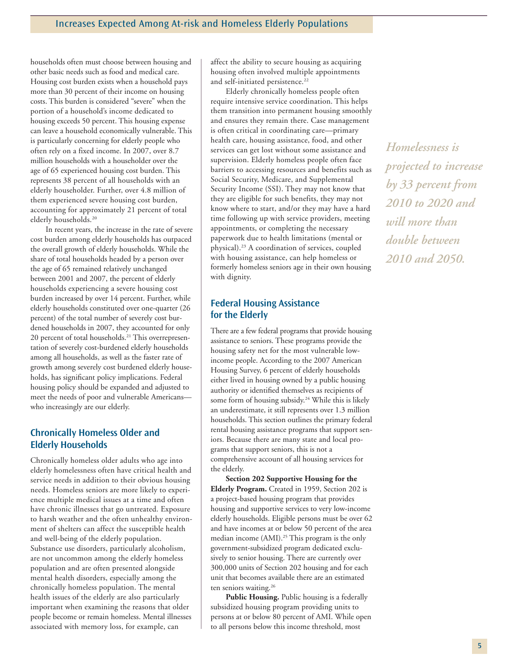households often must choose between housing and other basic needs such as food and medical care. Housing cost burden exists when a household pays more than 30 percent of their income on housing costs. This burden is considered "severe" when the portion of a household's income dedicated to housing exceeds 50 percent. This housing expense can leave a household economically vulnerable. This is particularly concerning for elderly people who often rely on a fixed income. In 2007, over 8.7 million households with a householder over the age of 65 experienced housing cost burden. This represents 38 percent of all households with an elderly householder. Further, over 4.8 million of them experienced severe housing cost burden, accounting for approximately 21 percent of total elderly households.20

In recent years, the increase in the rate of severe cost burden among elderly households has outpaced the overall growth of elderly households. While the share of total households headed by a person over the age of 65 remained relatively unchanged between 2001 and 2007, the percent of elderly households experiencing a severe housing cost burden increased by over 14 percent. Further, while elderly households constituted over one-quarter (26 percent) of the total number of severely cost burdened households in 2007, they accounted for only 20 percent of total households.<sup>21</sup> This overrepresentation of severely cost-burdened elderly households among all households, as well as the faster rate of growth among severely cost burdened elderly households, has significant policy implications. Federal housing policy should be expanded and adjusted to meet the needs of poor and vulnerable Americans who increasingly are our elderly.

#### **Chronically Homeless Older and Elderly Households**

Chronically homeless older adults who age into elderly homelessness often have critical health and service needs in addition to their obvious housing needs. Homeless seniors are more likely to experience multiple medical issues at a time and often have chronic illnesses that go untreated. Exposure to harsh weather and the often unhealthy environment of shelters can affect the susceptible health and well-being of the elderly population. Substance use disorders, particularly alcoholism, are not uncommon among the elderly homeless population and are often presented alongside mental health disorders, especially among the chronically homeless population. The mental health issues of the elderly are also particularly important when examining the reasons that older people become or remain homeless. Mental illnesses associated with memory loss, for example, can

affect the ability to secure housing as acquiring housing often involved multiple appointments and self-initiated persistence.<sup>22</sup>

Elderly chronically homeless people often require intensive service coordination. This helps them transition into permanent housing smoothly and ensures they remain there. Case management is often critical in coordinating care—primary health care, housing assistance, food, and other services can get lost without some assistance and supervision. Elderly homeless people often face barriers to accessing resources and benefits such as Social Security, Medicare, and Supplemental Security Income (SSI). They may not know that they are eligible for such benefits, they may not know where to start, and/or they may have a hard time following up with service providers, meeting appointments, or completing the necessary paperwork due to health limitations (mental or physical).23 A coordination of services, coupled with housing assistance, can help homeless or formerly homeless seniors age in their own housing with dignity.

#### **Federal Housing Assistance for the Elderly**

There are a few federal programs that provide housing assistance to seniors. These programs provide the housing safety net for the most vulnerable lowincome people. According to the 2007 American Housing Survey, 6 percent of elderly households either lived in housing owned by a public housing authority or identified themselves as recipients of some form of housing subsidy.<sup>24</sup> While this is likely an underestimate, it still represents over 1.3 million households. This section outlines the primary federal rental housing assistance programs that support seniors. Because there are many state and local programs that support seniors, this is not a comprehensive account of all housing services for the elderly.

**Section 202 Supportive Housing for the Elderly Program.** Created in 1959, Section 202 is a project-based housing program that provides housing and supportive services to very low-income elderly households. Eligible persons must be over 62 and have incomes at or below 50 percent of the area median income (AMI).<sup>25</sup> This program is the only government-subsidized program dedicated exclusively to senior housing. There are currently over 300,000 units of Section 202 housing and for each unit that becomes available there are an estimated ten seniors waiting.<sup>26</sup>

**Public Housing.** Public housing is a federally subsidized housing program providing units to persons at or below 80 percent of AMI. While open to all persons below this income threshold, most

*Homelessness is projected to increase by 33 percent from 2010 to 2020 and will more than double between 2010 and 2050.*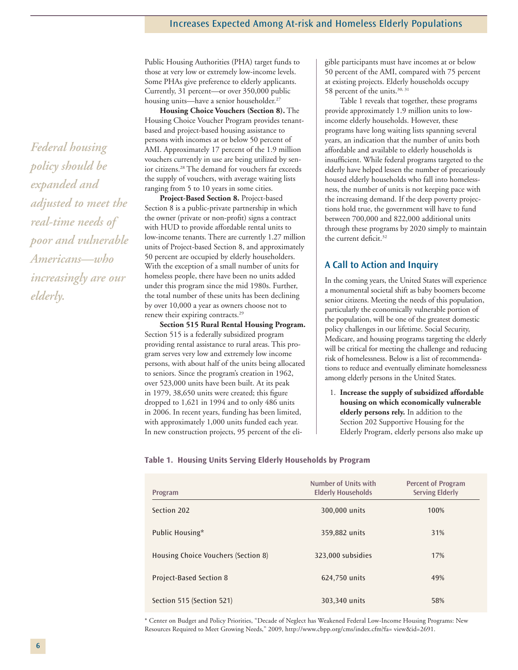Public Housing Authorities (PHA) target funds to those at very low or extremely low-income levels. Some PHAs give preference to elderly applicants. Currently, 31 percent—or over 350,000 public housing units—have a senior householder.<sup>27</sup>

**Housing Choice Vouchers (Section 8).** The Housing Choice Voucher Program provides tenantbased and project-based housing assistance to persons with incomes at or below 50 percent of AMI. Approximately 17 percent of the 1.9 million vouchers currently in use are being utilized by senior citizens.<sup>28</sup> The demand for vouchers far exceeds the supply of vouchers, with average waiting lists ranging from 5 to 10 years in some cities.

**Project-Based Section 8.** Project-based Section 8 is a public-private partnership in which the owner (private or non-profit) signs a contract with HUD to provide affordable rental units to low-income tenants. There are currently 1.27 million units of Project-based Section 8, and approximately 50 percent are occupied by elderly householders. With the exception of a small number of units for homeless people, there have been no units added under this program since the mid 1980s. Further, the total number of these units has been declining by over 10,000 a year as owners choose not to renew their expiring contracts.<sup>29</sup>

**Section 515 Rural Rental Housing Program.** Section 515 is a federally subsidized program providing rental assistance to rural areas. This program serves very low and extremely low income persons, with about half of the units being allocated to seniors. Since the program's creation in 1962, over 523,000 units have been built. At its peak in 1979, 38,650 units were created; this figure dropped to 1,621 in 1994 and to only 486 units in 2006. In recent years, funding has been limited, with approximately 1,000 units funded each year. In new construction projects, 95 percent of the eligible participants must have incomes at or below 50 percent of the AMI, compared with 75 percent at existing projects. Elderly households occupy 58 percent of the units.<sup>30, 31</sup>

Table 1 reveals that together, these programs provide approximately 1.9 million units to lowincome elderly households. However, these programs have long waiting lists spanning several years, an indication that the number of units both affordable and available to elderly households is insufficient. While federal programs targeted to the elderly have helped lessen the number of precariously housed elderly households who fall into homelessness, the number of units is not keeping pace with the increasing demand. If the deep poverty projections hold true, the government will have to fund between 700,000 and 822,000 additional units through these programs by 2020 simply to maintain the current deficit.<sup>32</sup>

#### **A Call to Action and Inquiry**

In the coming years, the United States will experience a monumental societal shift as baby boomers become senior citizens. Meeting the needs of this population, particularly the economically vulnerable portion of the population, will be one of the greatest domestic policy challenges in our lifetime. Social Security, Medicare, and housing programs targeting the elderly will be critical for meeting the challenge and reducing risk of homelessness. Below is a list of recommendations to reduce and eventually eliminate homelessness among elderly persons in the United States.

1. **Increase the supply of subsidized affordable housing on which economically vulnerable elderly persons rely.** In addition to the Section 202 Supportive Housing for the Elderly Program, elderly persons also make up

**Table 1. Housing Units Serving Elderly Households by Program**

| Program                             | <b>Number of Units with</b><br><b>Elderly Households</b> | <b>Percent of Program</b><br><b>Serving Elderly</b> |
|-------------------------------------|----------------------------------------------------------|-----------------------------------------------------|
| Section 202                         | 300,000 units                                            | 100%                                                |
| Public Housing*                     | 359,882 units                                            | 31%                                                 |
| Housing Choice Vouchers (Section 8) | 323,000 subsidies                                        | 17%                                                 |
| Project-Based Section 8             | 624,750 units                                            | 49%                                                 |
| Section 515 (Section 521)           | 303,340 units                                            | 58%                                                 |

\* Center on Budget and Policy Priorities, "Decade of Neglect has Weakened Federal Low-Income Housing Programs: New Resources Required to Meet Growing Needs," 2009, http://www.cbpp.org/cms/index.cfm?fa= view&id=2691.

*Federal housing policy should be expanded and adjusted to meet the real-time needs of poor and vulnerable Americans—who increasingly are our elderly.*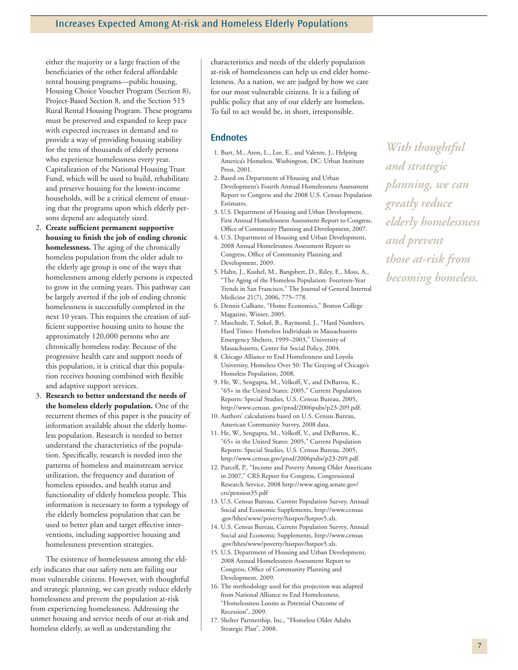either the majority or a large fraction of the beneficiaries of the other federal affordable rental housing programs—public housing, Housing Choice Voucher Program (Section 8), Project-Based Section 8, and the Section 515 Rural Rental Housing Program. These programs must be preserved and expanded to keep pace with expected increases in demand and to provide a way of providing housing stability for the tens of thousands of elderly persons who experience homelessness every year. Capitalization of the National Housing Trust Fund, which will be used to build, rehabilitate and preserve housing for the lowest-income households, will be a critical element of ensuring that the programs upon which elderly persons depend are adequately sized.

- 2. **Create sufficient permanent supportive housing to finish the job of ending chronic homelessness.** The aging of the chronically homeless population from the older adult to the elderly age group is one of the ways that homelessness among elderly persons is expected to grow in the coming years. This pathway can be largely averted if the job of ending chronic homelessness is successfully completed in the next 10 years. This requires the creation of sufficient supportive housing units to house the approximately 120,000 persons who are chronically homeless today. Because of the progressive health care and support needs of this population, it is critical that this population receives housing combined with flexible and adaptive support services.
- 3. **Research to better understand the needs of the homeless elderly population.** One of the recurrent themes of this paper is the paucity of information available about the elderly homeless population. Research is needed to better understand the characteristics of the population. Specifically, research is needed into the patterns of homeless and mainstream service utilization, the frequency and duration of homeless episodes, and health status and functionality of elderly homeless people. This information is necessary to form a typology of the elderly homeless population that can be used to better plan and target effective interventions, including supportive housing and homelessness prevention strategies.

The existence of homelessness among the elderly indicates that our safety nets are failing our most vulnerable citizens. However, with thoughtful and strategic planning, we can greatly reduce elderly homelessness and prevent the population at-risk from experiencing homelessness. Addressing the unmet housing and service needs of our at-risk and homeless elderly, as well as understanding the

characteristics and needs of the elderly population at-risk of homelessness can help us end elder homelessness. As a nation, we are judged by how we care for our most vulnerable citizens. It is a failing of public policy that any of our elderly are homeless. To fail to act would be, in short, irresponsible.

#### **Endnotes**

- 1. Burt, M., Aron, L., Lee, E., and Valente, J., Helping America's Homeless. Washington, DC: Urban Institute Press, 2001.
- 2. Based on Department of Housing and Urban Development's Fourth Annual Homelessness Assessment Report to Congress and the 2008 U.S. Census Population Estimates.
- 3. U.S. Department of Housing and Urban Development, First Annual Homelessness Assessment Report to Congress, Office of Community Planning and Development, 2007.
- 4. U.S. Department of Housing and Urban Development, 2008 Annual Homelessness Assessment Report to Congress, Office of Community Planning and Development, 2009.
- 5. Hahn, J., Kushel, M., Bangsbert, D., Riley, E., Moss, A., "The Aging of the Homeless Population: Fourteen-Year Trends in San Francisco," The Journal of General Internal Medicine 21(7), 2006, 775–778.
- 6. Dennis Culhane, "Home Economics," Boston College Magazine, Winter, 2005.
- 7. Maschede, T, Sokol, B., Raymond, J., "Hard Numbers, Hard Times: Homeless Individuals in Massachusetts Emergency Shelters, 1999–2003," University of Massachusetts, Center for Social Policy, 2004.
- 8. Chicago Alliance to End Homelessness and Loyola University, Homeless Over 50: The Graying of Chicago's Homeless Population, 2008.
- 9. He, W., Sengupta, M., Velkoff, V., and DeBarros, K., "65+ in the United States: 2005," Current Population Reports: Special Studies, U.S. Census Bureau, 2005, http://www.census. gov/prod/2006pubs/p23-209.pdf.
- 10. Authors' calculations based on U.S. Census Bureau, American Community Survey, 2008 data.
- 11. He, W., Sengupta, M., Velkoff, V., and DeBarros, K., "65+ in the United States: 2005," Current Population Reports: Special Studies, U.S. Census Bureau, 2005, http://www.census.gov/prod/2006pubs/p23-209.pdf.
- 12. Purcell, P., "Income and Poverty Among Older Americans in 2007," CRS Report for Congress, Congressional Research Service, 2008 http://www.aging.senate.gov/ crs/pension35.pdf
- 13. U.S. Census Bureau, Current Population Survey, Annual Social and Economic Supplements, http://www.census .gov/hhes/www/poverty/histpov/hstpov5.xls.
- 14. U.S. Census Bureau, Current Population Survey, Annual Social and Economic Supplements, http://www.census .gov/hhes/www/poverty/histpov/hstpov5.xls.
- 15. U.S. Department of Housing and Urban Development, 2008 Annual Homelessness Assessment Report to Congress, Office of Community Planning and Development, 2009.
- 16. The methodology used for this projection was adapted from National Alliance to End Homelessness, "Homelessness Looms as Potential Outcome of Recession", 2009.
- 17. Shelter Partnership, Inc., "Homeless Older Adults Strategic Plan", 2008.

*With thoughtful and strategic planning, we can greatly reduce elderly homelessness and prevent those at-risk from becoming homeless.*